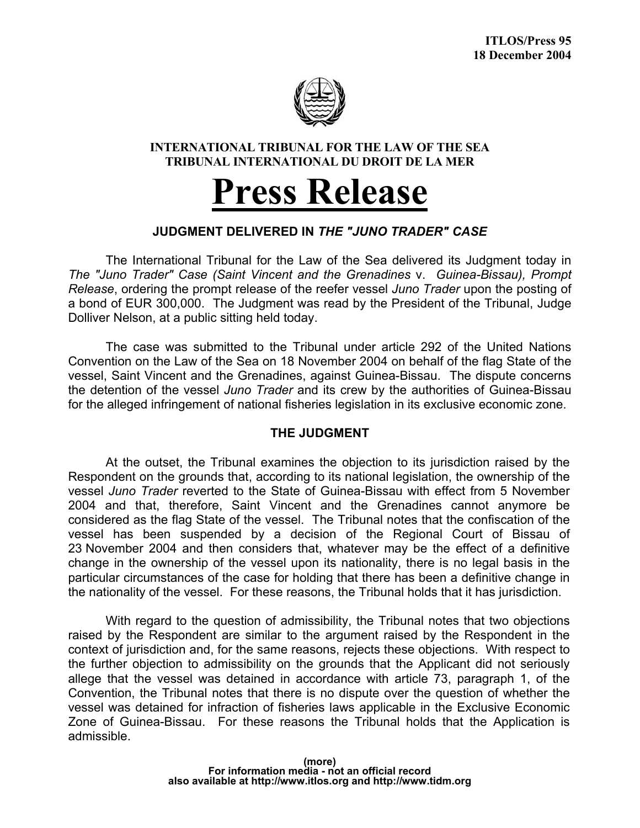

## **INTERNATIONAL TRIBUNAL FOR THE LAW OF THE SEA TRIBUNAL INTERNATIONAL DU DROIT DE LA MER**

# **Press Release**

## **JUDGMENT DELIVERED IN** *THE "JUNO TRADER" CASE*

 The International Tribunal for the Law of the Sea delivered its Judgment today in *The "Juno Trader" Case (Saint Vincent and the Grenadines* v. *Guinea-Bissau), Prompt Release*, ordering the prompt release of the reefer vessel *Juno Trader* upon the posting of a bond of EUR 300,000. The Judgment was read by the President of the Tribunal, Judge Dolliver Nelson, at a public sitting held today.

 The case was submitted to the Tribunal under article 292 of the United Nations Convention on the Law of the Sea on 18 November 2004 on behalf of the flag State of the vessel, Saint Vincent and the Grenadines, against Guinea-Bissau. The dispute concerns the detention of the vessel *Juno Trader* and its crew by the authorities of Guinea-Bissau for the alleged infringement of national fisheries legislation in its exclusive economic zone.

### **THE JUDGMENT**

 At the outset, the Tribunal examines the objection to its jurisdiction raised by the Respondent on the grounds that, according to its national legislation, the ownership of the vessel *Juno Trader* reverted to the State of Guinea-Bissau with effect from 5 November 2004 and that, therefore, Saint Vincent and the Grenadines cannot anymore be considered as the flag State of the vessel. The Tribunal notes that the confiscation of the vessel has been suspended by a decision of the Regional Court of Bissau of 23 November 2004 and then considers that, whatever may be the effect of a definitive change in the ownership of the vessel upon its nationality, there is no legal basis in the particular circumstances of the case for holding that there has been a definitive change in the nationality of the vessel. For these reasons, the Tribunal holds that it has jurisdiction.

 With regard to the question of admissibility, the Tribunal notes that two objections raised by the Respondent are similar to the argument raised by the Respondent in the context of jurisdiction and, for the same reasons, rejects these objections. With respect to the further objection to admissibility on the grounds that the Applicant did not seriously allege that the vessel was detained in accordance with article 73, paragraph 1, of the Convention, the Tribunal notes that there is no dispute over the question of whether the vessel was detained for infraction of fisheries laws applicable in the Exclusive Economic Zone of Guinea-Bissau. For these reasons the Tribunal holds that the Application is admissible.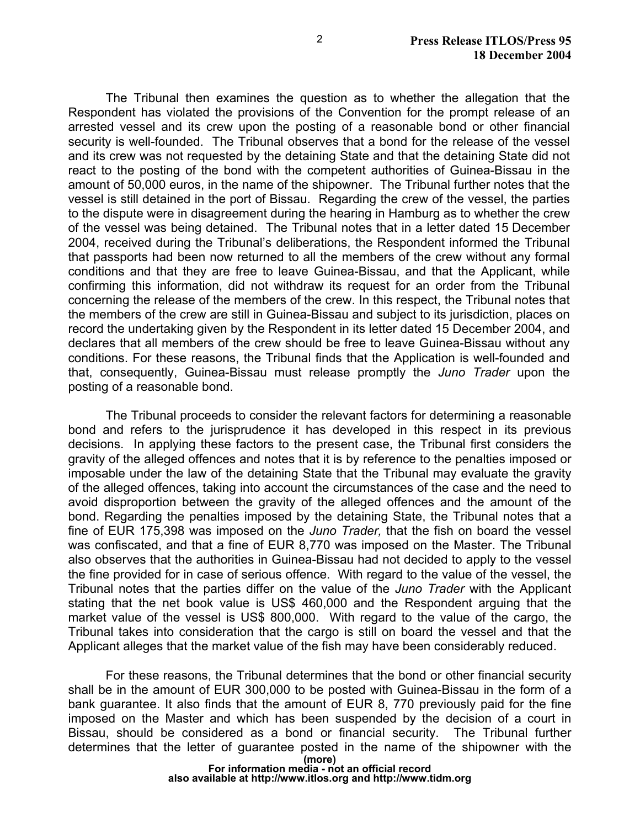The Tribunal then examines the question as to whether the allegation that the Respondent has violated the provisions of the Convention for the prompt release of an arrested vessel and its crew upon the posting of a reasonable bond or other financial security is well-founded. The Tribunal observes that a bond for the release of the vessel and its crew was not requested by the detaining State and that the detaining State did not react to the posting of the bond with the competent authorities of Guinea-Bissau in the amount of 50,000 euros, in the name of the shipowner. The Tribunal further notes that the vessel is still detained in the port of Bissau. Regarding the crew of the vessel, the parties to the dispute were in disagreement during the hearing in Hamburg as to whether the crew of the vessel was being detained. The Tribunal notes that in a letter dated 15 December 2004, received during the Tribunal's deliberations, the Respondent informed the Tribunal that passports had been now returned to all the members of the crew without any formal conditions and that they are free to leave Guinea-Bissau, and that the Applicant, while confirming this information, did not withdraw its request for an order from the Tribunal concerning the release of the members of the crew. In this respect, the Tribunal notes that the members of the crew are still in Guinea-Bissau and subject to its jurisdiction, places on record the undertaking given by the Respondent in its letter dated 15 December 2004, and declares that all members of the crew should be free to leave Guinea-Bissau without any conditions. For these reasons, the Tribunal finds that the Application is well-founded and that, consequently, Guinea-Bissau must release promptly the *Juno Trader* upon the posting of a reasonable bond.

The Tribunal proceeds to consider the relevant factors for determining a reasonable bond and refers to the jurisprudence it has developed in this respect in its previous decisions. In applying these factors to the present case, the Tribunal first considers the gravity of the alleged offences and notes that it is by reference to the penalties imposed or imposable under the law of the detaining State that the Tribunal may evaluate the gravity of the alleged offences, taking into account the circumstances of the case and the need to avoid disproportion between the gravity of the alleged offences and the amount of the bond. Regarding the penalties imposed by the detaining State, the Tribunal notes that a fine of EUR 175,398 was imposed on the *Juno Trader,* that the fish on board the vessel was confiscated, and that a fine of EUR 8,770 was imposed on the Master. The Tribunal also observes that the authorities in Guinea-Bissau had not decided to apply to the vessel the fine provided for in case of serious offence. With regard to the value of the vessel, the Tribunal notes that the parties differ on the value of the *Juno Trader* with the Applicant stating that the net book value is US\$ 460,000 and the Respondent arguing that the market value of the vessel is US\$ 800,000. With regard to the value of the cargo, the Tribunal takes into consideration that the cargo is still on board the vessel and that the Applicant alleges that the market value of the fish may have been considerably reduced.

 For these reasons, the Tribunal determines that the bond or other financial security shall be in the amount of EUR 300,000 to be posted with Guinea-Bissau in the form of a bank guarantee. It also finds that the amount of EUR 8, 770 previously paid for the fine imposed on the Master and which has been suspended by the decision of a court in Bissau, should be considered as a bond or financial security. The Tribunal further determines that the letter of guarantee posted in the name of the shipowner with the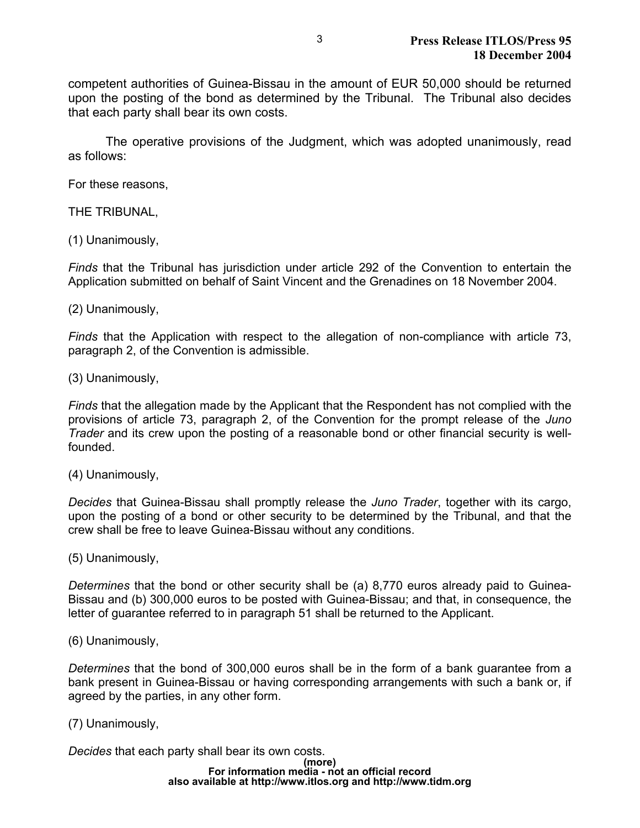competent authorities of Guinea-Bissau in the amount of EUR 50,000 should be returned upon the posting of the bond as determined by the Tribunal. The Tribunal also decides that each party shall bear its own costs.

 The operative provisions of the Judgment, which was adopted unanimously, read as follows:

For these reasons,

THE TRIBUNAL,

(1) Unanimously,

*Finds* that the Tribunal has jurisdiction under article 292 of the Convention to entertain the Application submitted on behalf of Saint Vincent and the Grenadines on 18 November 2004.

#### (2) Unanimously,

*Finds* that the Application with respect to the allegation of non-compliance with article 73, paragraph 2, of the Convention is admissible.

(3) Unanimously,

*Finds* that the allegation made by the Applicant that the Respondent has not complied with the provisions of article 73, paragraph 2, of the Convention for the prompt release of the *Juno Trader* and its crew upon the posting of a reasonable bond or other financial security is wellfounded.

(4) Unanimously,

*Decides* that Guinea-Bissau shall promptly release the *Juno Trader*, together with its cargo, upon the posting of a bond or other security to be determined by the Tribunal, and that the crew shall be free to leave Guinea-Bissau without any conditions.

(5) Unanimously,

*Determines* that the bond or other security shall be (a) 8,770 euros already paid to Guinea-Bissau and (b) 300,000 euros to be posted with Guinea-Bissau; and that, in consequence, the letter of guarantee referred to in paragraph 51 shall be returned to the Applicant.

(6) Unanimously,

*Determines* that the bond of 300,000 euros shall be in the form of a bank guarantee from a bank present in Guinea-Bissau or having corresponding arrangements with such a bank or, if agreed by the parties, in any other form.

#### (7) Unanimously,

*Decides* that each party shall bear its own costs.